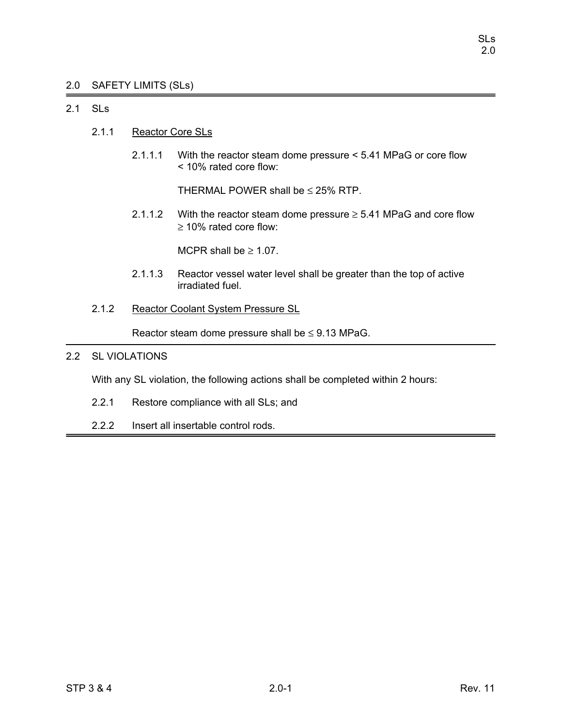# 2.0 SAFETY LIMITS (SLs)

# 2.1 SLs

- 2.1.1 Reactor Core SLs
	- 2.1.1.1 With the reactor steam dome pressure < 5.41 MPaG or core flow < 10% rated core flow:

THERMAL POWER shall be  $\leq$  25% RTP.

2.1.1.2 With the reactor steam dome pressure  $\geq$  5.41 MPaG and core flow ≥ 10% rated core flow:

MCPR shall be  $\geq 1.07$ .

- 2.1.1.3 Reactor vessel water level shall be greater than the top of active irradiated fuel.
- 2.1.2 Reactor Coolant System Pressure SL

Reactor steam dome pressure shall be  $\leq$  9.13 MPaG.

# 2.2 SL VIOLATIONS

With any SL violation, the following actions shall be completed within 2 hours:

- 2.2.1 Restore compliance with all SLs; and
- 2.2.2 Insert all insertable control rods.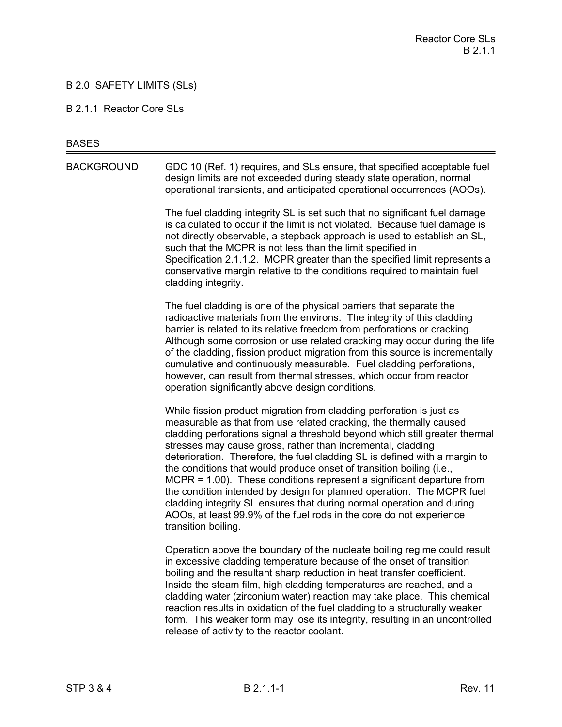# B 2.0 SAFETY LIMITS (SLs)

#### B 2.1.1 Reactor Core SLs

#### **BASES**

BACKGROUND GDC 10 (Ref. 1) requires, and SLs ensure, that specified acceptable fuel design limits are not exceeded during steady state operation, normal operational transients, and anticipated operational occurrences (AOOs).

> The fuel cladding integrity SL is set such that no significant fuel damage is calculated to occur if the limit is not violated. Because fuel damage is not directly observable, a stepback approach is used to establish an SL, such that the MCPR is not less than the limit specified in Specification 2.1.1.2. MCPR greater than the specified limit represents a conservative margin relative to the conditions required to maintain fuel cladding integrity.

The fuel cladding is one of the physical barriers that separate the radioactive materials from the environs. The integrity of this cladding barrier is related to its relative freedom from perforations or cracking. Although some corrosion or use related cracking may occur during the life of the cladding, fission product migration from this source is incrementally cumulative and continuously measurable. Fuel cladding perforations, however, can result from thermal stresses, which occur from reactor operation significantly above design conditions.

While fission product migration from cladding perforation is just as measurable as that from use related cracking, the thermally caused cladding perforations signal a threshold beyond which still greater thermal stresses may cause gross, rather than incremental, cladding deterioration. Therefore, the fuel cladding SL is defined with a margin to the conditions that would produce onset of transition boiling (i.e., MCPR = 1.00). These conditions represent a significant departure from the condition intended by design for planned operation. The MCPR fuel cladding integrity SL ensures that during normal operation and during AOOs, at least 99.9% of the fuel rods in the core do not experience transition boiling.

Operation above the boundary of the nucleate boiling regime could result in excessive cladding temperature because of the onset of transition boiling and the resultant sharp reduction in heat transfer coefficient. Inside the steam film, high cladding temperatures are reached, and a cladding water (zirconium water) reaction may take place. This chemical reaction results in oxidation of the fuel cladding to a structurally weaker form. This weaker form may lose its integrity, resulting in an uncontrolled release of activity to the reactor coolant.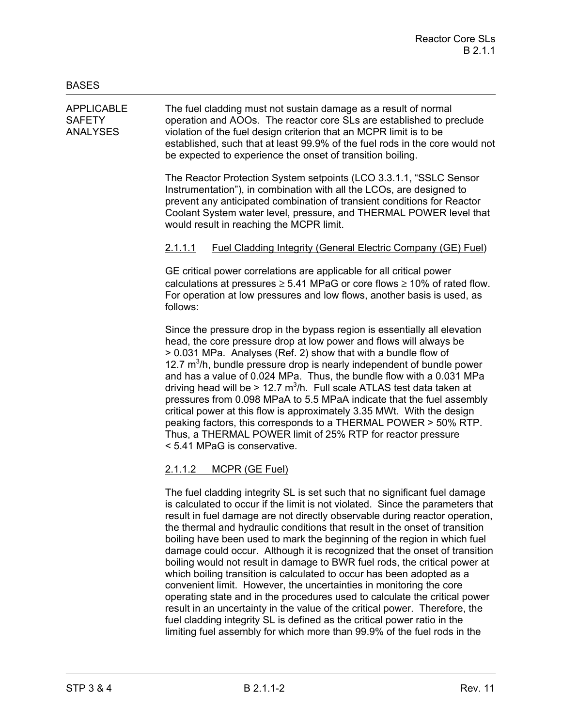APPLICABLE The fuel cladding must not sustain damage as a result of normal SAFETY operation and AOOs. The reactor core SLs are established to preclude ANALYSES violation of the fuel design criterion that an MCPR limit is to be established, such that at least 99.9% of the fuel rods in the core would not be expected to experience the onset of transition boiling.

> The Reactor Protection System setpoints (LCO 3.3.1.1, "SSLC Sensor Instrumentation"), in combination with all the LCOs, are designed to prevent any anticipated combination of transient conditions for Reactor Coolant System water level, pressure, and THERMAL POWER level that would result in reaching the MCPR limit.

# 2.1.1.1 Fuel Cladding Integrity (General Electric Company (GE) Fuel)

GE critical power correlations are applicable for all critical power calculations at pressures  $\geq 5.41$  MPaG or core flows  $\geq 10\%$  of rated flow. For operation at low pressures and low flows, another basis is used, as follows:

Since the pressure drop in the bypass region is essentially all elevation head, the core pressure drop at low power and flows will always be > 0.031 MPa. Analyses (Ref. 2) show that with a bundle flow of 12.7  $m<sup>3</sup>/h$ , bundle pressure drop is nearly independent of bundle power and has a value of 0.024 MPa. Thus, the bundle flow with a 0.031 MPa driving head will be > 12.7  $m^3/h$ . Full scale ATLAS test data taken at pressures from 0.098 MPaA to 5.5 MPaA indicate that the fuel assembly critical power at this flow is approximately 3.35 MWt. With the design peaking factors, this corresponds to a THERMAL POWER > 50% RTP. Thus, a THERMAL POWER limit of 25% RTP for reactor pressure < 5.41 MPaG is conservative.

# 2.1.1.2 MCPR (GE Fuel)

The fuel cladding integrity SL is set such that no significant fuel damage is calculated to occur if the limit is not violated. Since the parameters that result in fuel damage are not directly observable during reactor operation, the thermal and hydraulic conditions that result in the onset of transition boiling have been used to mark the beginning of the region in which fuel damage could occur. Although it is recognized that the onset of transition boiling would not result in damage to BWR fuel rods, the critical power at which boiling transition is calculated to occur has been adopted as a convenient limit. However, the uncertainties in monitoring the core operating state and in the procedures used to calculate the critical power result in an uncertainty in the value of the critical power. Therefore, the fuel cladding integrity SL is defined as the critical power ratio in the limiting fuel assembly for which more than 99.9% of the fuel rods in the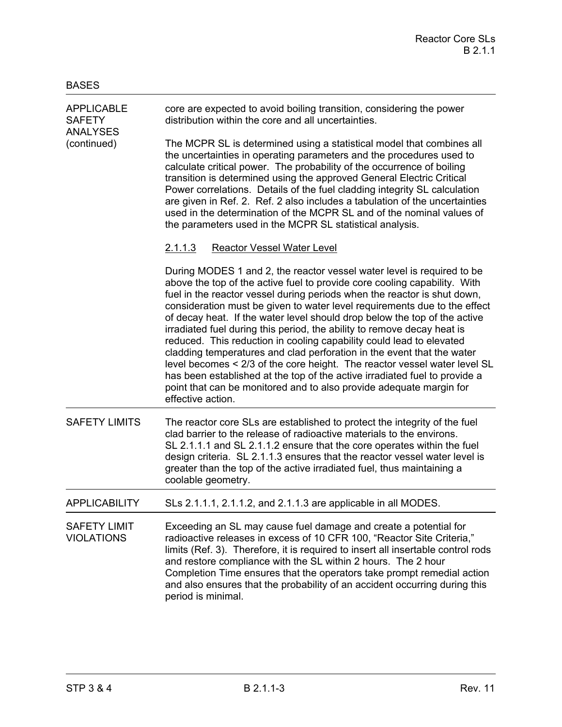| <b>APPLICABLE</b><br><b>SAFETY</b><br><b>ANALYSES</b><br>(continued) | core are expected to avoid boiling transition, considering the power<br>distribution within the core and all uncertainties.                                                                                                                                                                                                                                                                                                                                                                                                                                                                                                                                                                                                                                                                                                                                                   |
|----------------------------------------------------------------------|-------------------------------------------------------------------------------------------------------------------------------------------------------------------------------------------------------------------------------------------------------------------------------------------------------------------------------------------------------------------------------------------------------------------------------------------------------------------------------------------------------------------------------------------------------------------------------------------------------------------------------------------------------------------------------------------------------------------------------------------------------------------------------------------------------------------------------------------------------------------------------|
|                                                                      | The MCPR SL is determined using a statistical model that combines all<br>the uncertainties in operating parameters and the procedures used to<br>calculate critical power. The probability of the occurrence of boiling<br>transition is determined using the approved General Electric Critical<br>Power correlations. Details of the fuel cladding integrity SL calculation<br>are given in Ref. 2. Ref. 2 also includes a tabulation of the uncertainties<br>used in the determination of the MCPR SL and of the nominal values of<br>the parameters used in the MCPR SL statistical analysis.                                                                                                                                                                                                                                                                             |
|                                                                      | <b>Reactor Vessel Water Level</b><br><u>2.1.1.3</u>                                                                                                                                                                                                                                                                                                                                                                                                                                                                                                                                                                                                                                                                                                                                                                                                                           |
|                                                                      | During MODES 1 and 2, the reactor vessel water level is required to be<br>above the top of the active fuel to provide core cooling capability. With<br>fuel in the reactor vessel during periods when the reactor is shut down,<br>consideration must be given to water level requirements due to the effect<br>of decay heat. If the water level should drop below the top of the active<br>irradiated fuel during this period, the ability to remove decay heat is<br>reduced. This reduction in cooling capability could lead to elevated<br>cladding temperatures and clad perforation in the event that the water<br>level becomes < 2/3 of the core height. The reactor vessel water level SL<br>has been established at the top of the active irradiated fuel to provide a<br>point that can be monitored and to also provide adequate margin for<br>effective action. |
| <b>SAFETY LIMITS</b>                                                 | The reactor core SLs are established to protect the integrity of the fuel<br>clad barrier to the release of radioactive materials to the environs.<br>SL 2.1.1.1 and SL 2.1.1.2 ensure that the core operates within the fuel<br>design criteria. SL 2.1.1.3 ensures that the reactor vessel water level is<br>greater than the top of the active irradiated fuel, thus maintaining a<br>coolable geometry.                                                                                                                                                                                                                                                                                                                                                                                                                                                                   |
| <b>APPLICABILITY</b>                                                 | SLs 2.1.1.1, 2.1.1.2, and 2.1.1.3 are applicable in all MODES.                                                                                                                                                                                                                                                                                                                                                                                                                                                                                                                                                                                                                                                                                                                                                                                                                |
| <b>SAFETY LIMIT</b><br><b>VIOLATIONS</b>                             | Exceeding an SL may cause fuel damage and create a potential for<br>radioactive releases in excess of 10 CFR 100, "Reactor Site Criteria,"<br>limits (Ref. 3). Therefore, it is required to insert all insertable control rods<br>and restore compliance with the SL within 2 hours. The 2 hour<br>Completion Time ensures that the operators take prompt remedial action<br>and also ensures that the probability of an accident occurring during this<br>period is minimal.                                                                                                                                                                                                                                                                                                                                                                                                 |

BASES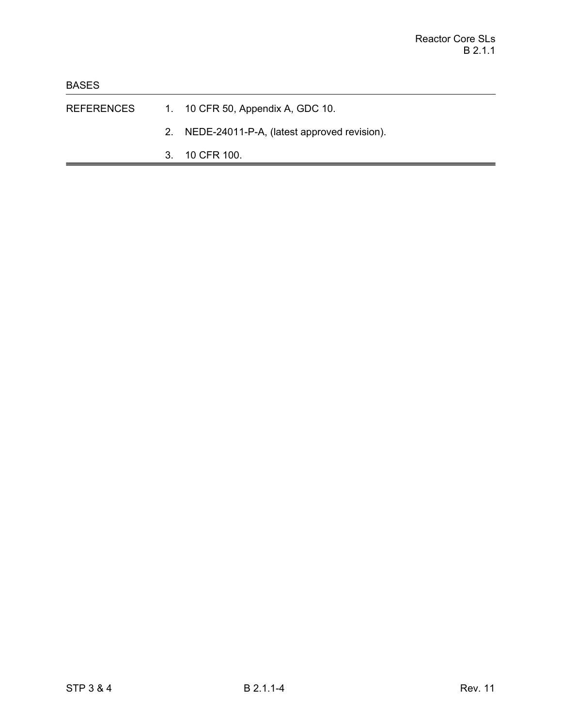- REFERENCES 1. 10 CFR 50, Appendix A, GDC 10.
	- 2. NEDE-24011-P-A, (latest approved revision).
	- 3. 10 CFR 100.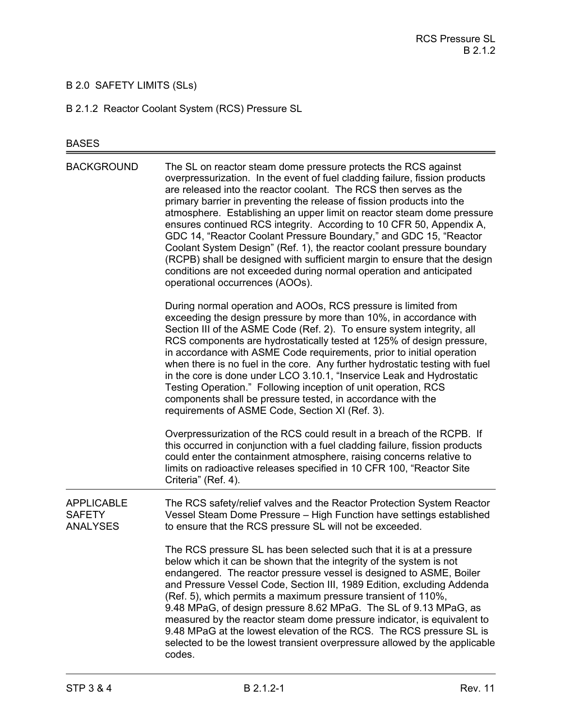# B 2.0 SAFETY LIMITS (SLs)

B 2.1.2 Reactor Coolant System (RCS) Pressure SL

# BASES

| <b>BACKGROUND</b>                                     | The SL on reactor steam dome pressure protects the RCS against<br>overpressurization. In the event of fuel cladding failure, fission products<br>are released into the reactor coolant. The RCS then serves as the<br>primary barrier in preventing the release of fission products into the<br>atmosphere. Establishing an upper limit on reactor steam dome pressure<br>ensures continued RCS integrity. According to 10 CFR 50, Appendix A,<br>GDC 14, "Reactor Coolant Pressure Boundary," and GDC 15, "Reactor<br>Coolant System Design" (Ref. 1), the reactor coolant pressure boundary<br>(RCPB) shall be designed with sufficient margin to ensure that the design<br>conditions are not exceeded during normal operation and anticipated<br>operational occurrences (AOOs). |
|-------------------------------------------------------|--------------------------------------------------------------------------------------------------------------------------------------------------------------------------------------------------------------------------------------------------------------------------------------------------------------------------------------------------------------------------------------------------------------------------------------------------------------------------------------------------------------------------------------------------------------------------------------------------------------------------------------------------------------------------------------------------------------------------------------------------------------------------------------|
|                                                       | During normal operation and AOOs, RCS pressure is limited from<br>exceeding the design pressure by more than 10%, in accordance with<br>Section III of the ASME Code (Ref. 2). To ensure system integrity, all<br>RCS components are hydrostatically tested at 125% of design pressure,<br>in accordance with ASME Code requirements, prior to initial operation<br>when there is no fuel in the core. Any further hydrostatic testing with fuel<br>in the core is done under LCO 3.10.1, "Inservice Leak and Hydrostatic<br>Testing Operation." Following inception of unit operation, RCS<br>components shall be pressure tested, in accordance with the<br>requirements of ASME Code, Section XI (Ref. 3).                                                                        |
|                                                       | Overpressurization of the RCS could result in a breach of the RCPB. If<br>this occurred in conjunction with a fuel cladding failure, fission products<br>could enter the containment atmosphere, raising concerns relative to<br>limits on radioactive releases specified in 10 CFR 100, "Reactor Site<br>Criteria" (Ref. 4).                                                                                                                                                                                                                                                                                                                                                                                                                                                        |
| <b>APPLICABLE</b><br><b>SAFETY</b><br><b>ANALYSES</b> | The RCS safety/relief valves and the Reactor Protection System Reactor<br>Vessel Steam Dome Pressure - High Function have settings established<br>to ensure that the RCS pressure SL will not be exceeded.                                                                                                                                                                                                                                                                                                                                                                                                                                                                                                                                                                           |
|                                                       | The RCS pressure SL has been selected such that it is at a pressure<br>below which it can be shown that the integrity of the system is not<br>endangered. The reactor pressure vessel is designed to ASME, Boiler<br>and Pressure Vessel Code, Section III, 1989 Edition, excluding Addenda<br>(Ref. 5), which permits a maximum pressure transient of 110%,<br>9.48 MPaG, of design pressure 8.62 MPaG. The SL of 9.13 MPaG, as<br>measured by the reactor steam dome pressure indicator, is equivalent to<br>9.48 MPaG at the lowest elevation of the RCS. The RCS pressure SL is<br>selected to be the lowest transient overpressure allowed by the applicable<br>codes.                                                                                                          |